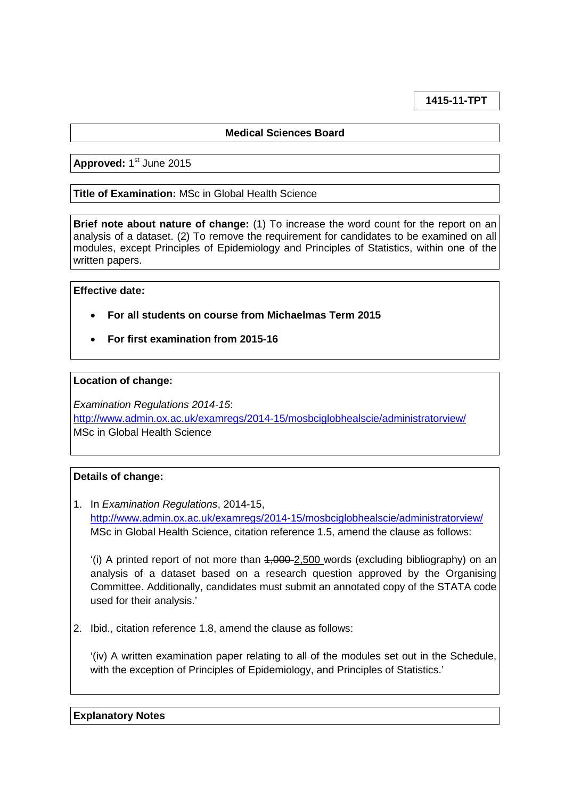**1415-11-TPT**

# **Medical Sciences Board**

Approved: 1<sup>st</sup> June 2015

# **Title of Examination:** MSc in Global Health Science

**Brief note about nature of change:** (1) To increase the word count for the report on an analysis of a dataset. (2) To remove the requirement for candidates to be examined on all modules, except Principles of Epidemiology and Principles of Statistics, within one of the written papers.

## **Effective date:**

- **For all students on course from Michaelmas Term 2015**
- **For first examination from 2015-16**

## **Location of change:**

*Examination Regulations 2014-15*: <http://www.admin.ox.ac.uk/examregs/2014-15/mosbciglobhealscie/administratorview/> MSc in Global Health Science

# **Details of change:**

1. In *Examination Regulations*, 2014-15, <http://www.admin.ox.ac.uk/examregs/2014-15/mosbciglobhealscie/administratorview/> MSc in Global Health Science, citation reference 1.5, amend the clause as follows:

'(i) A printed report of not more than  $4,000-2,500$  words (excluding bibliography) on an analysis of a dataset based on a research question approved by the Organising Committee. Additionally, candidates must submit an annotated copy of the STATA code used for their analysis.'

2. Ibid., citation reference 1.8, amend the clause as follows:

'(iv) A written examination paper relating to all of the modules set out in the Schedule, with the exception of Principles of Epidemiology, and Principles of Statistics.'

**Explanatory Notes**